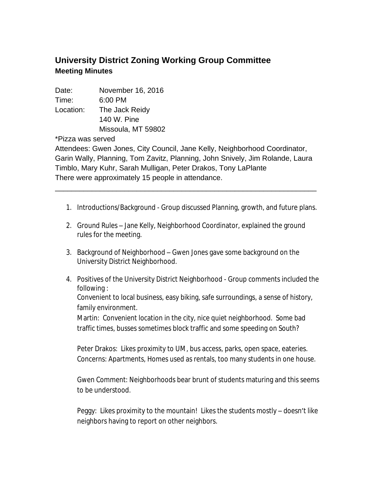## **University District Zoning Working Group Committee Meeting Minutes**

Date: November 16, 2016

Time: 6:00 PM

Location: The Jack Reidy 140 W. Pine Missoula, MT 59802

\*Pizza was served

Attendees: Gwen Jones, City Council, Jane Kelly, Neighborhood Coordinator, Garin Wally, Planning, Tom Zavitz, Planning, John Snively, Jim Rolande, Laura Timblo, Mary Kuhr, Sarah Mulligan, Peter Drakos, Tony LaPlante There were approximately 15 people in attendance.

\_\_\_\_\_\_\_\_\_\_\_\_\_\_\_\_\_\_\_\_\_\_\_\_\_\_\_\_\_\_\_\_\_\_\_\_\_\_\_\_\_\_\_\_\_\_\_\_\_\_\_\_\_\_\_\_\_\_\_\_\_\_\_\_

- 1. Introductions/Background Group discussed Planning, growth, and future plans.
- 2. Ground Rules Jane Kelly, Neighborhood Coordinator, explained the ground rules for the meeting.
- 3. Background of Neighborhood Gwen Jones gave some background on the University District Neighborhood.
- 4. Positives of the University District Neighborhood Group comments included the following :

Convenient to local business, easy biking, safe surroundings, a sense of history, family environment.

Martin: Convenient location in the city, nice quiet neighborhood. Some bad traffic times, busses sometimes block traffic and some speeding on South?

Peter Drakos: Likes proximity to UM, bus access, parks, open space, eateries. Concerns: Apartments, Homes used as rentals, too many students in one house.

Gwen Comment: Neighborhoods bear brunt of students maturing and this seems to be understood.

Peggy: Likes proximity to the mountain! Likes the students mostly – doesn't like neighbors having to report on other neighbors.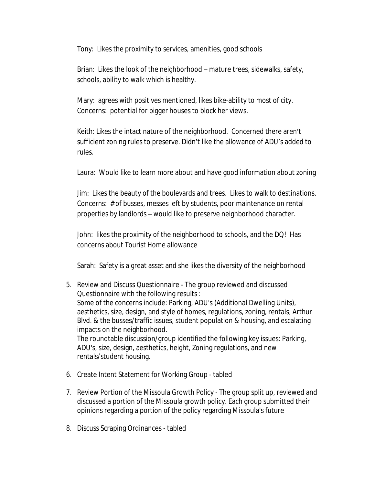Tony: Likes the proximity to services, amenities, good schools

Brian: Likes the look of the neighborhood – mature trees, sidewalks, safety, schools, ability to walk which is healthy.

Mary: agrees with positives mentioned, likes bike-ability to most of city. Concerns: potential for bigger houses to block her views.

Keith: Likes the intact nature of the neighborhood. Concerned there aren't sufficient zoning rules to preserve. Didn't like the allowance of ADU's added to rules.

Laura: Would like to learn more about and have good information about zoning

Jim: Likes the beauty of the boulevards and trees. Likes to walk to destinations. Concerns: # of busses, messes left by students, poor maintenance on rental properties by landlords – would like to preserve neighborhood character.

John: likes the proximity of the neighborhood to schools, and the DQ! Has concerns about Tourist Home allowance

Sarah: Safety is a great asset and she likes the diversity of the neighborhood

- 5. Review and Discuss Questionnaire The group reviewed and discussed Questionnaire with the following results : Some of the concerns include: Parking, ADU's (Additional Dwelling Units), aesthetics, size, design, and style of homes, regulations, zoning, rentals, Arthur Blvd. & the busses/traffic issues, student population & housing, and escalating impacts on the neighborhood. The roundtable discussion/group identified the following key issues: Parking, ADU's, size, design, aesthetics, height, Zoning regulations, and new rentals/student housing.
- 6. Create Intent Statement for Working Group tabled
- 7. Review Portion of the Missoula Growth Policy The group split up, reviewed and discussed a portion of the Missoula growth policy. Each group submitted their opinions regarding a portion of the policy regarding Missoula's future
- 8. Discuss Scraping Ordinances tabled